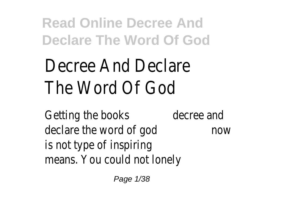# Decree And Declare The Word Of God

Getting the books decree and declare the word of god now is not type of inspiring means. You could not lonely

Page 1/38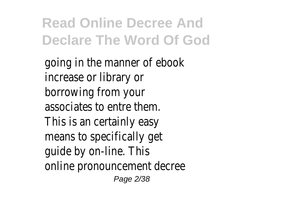going in the manner of ebook increase or library or borrowing from your associates to entre them. This is an certainly easy means to specifically get guide by on-line. This online pronouncement decree Page 2/38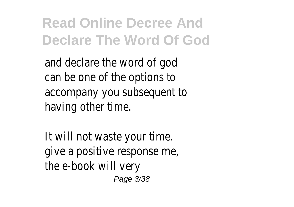and declare the word of god can be one of the options to accompany you subsequent to having other time.

It will not waste your time. give a positive response me, the e-book will very Page 3/38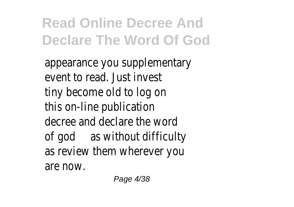appearance you supplementary event to read. Just invest tiny become old to log on this on-line publication decree and declare the word of god as without difficulty as review them wherever you are now.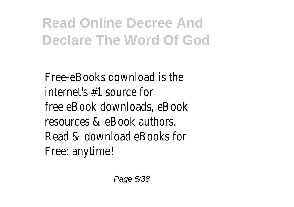Free-eBooks download is the internet's #1 source for free eBook downloads, eBook resources & eBook authors. Read & download eBooks for Free: anytime!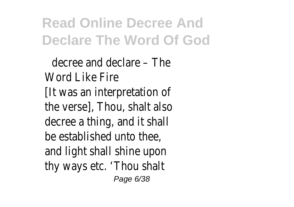decree and declare – The Word Like Fire [It was an interpretation of the verse], Thou, shalt also decree a thing, and it shall be established unto thee, and light shall shine upon thy ways etc. 'Thou shalt Page 6/38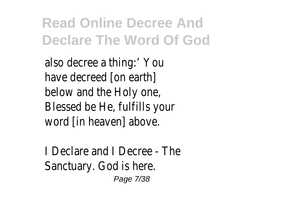also decree a thing:' You have decreed [on earth] below and the Holy one, Blessed be He, fulfills your word [in heaven] above.

I Declare and I Decree - The Sanctuary. God is here. Page 7/38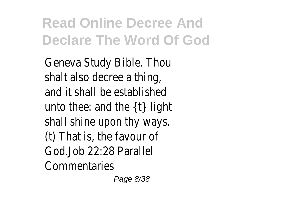Geneva Study Bible. Thou shalt also decree a thing, and it shall be established unto thee: and the {t} light shall shine upon thy ways. (t) That is, the favour of God.Job 22:28 Parallel Commentaries

Page 8/38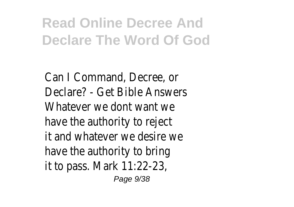Can I Command, Decree, or Declare? - Get Bible Answers Whatever we dont want we have the authority to reject it and whatever we desire we have the authority to bring it to pass. Mark 11:22-23,

Page 9/38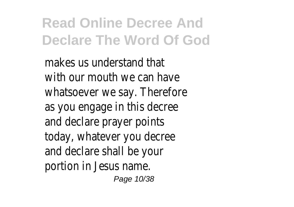makes us understand that with our mouth we can have whatsoever we say. Therefore as you engage in this decree and declare prayer points today, whatever you decree and declare shall be your portion in Jesus name.

Page 10/38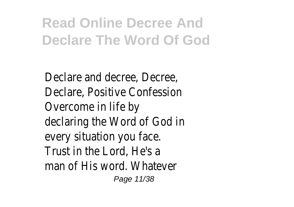Declare and decree, Decree, Declare, Positive Confession Overcome in life by declaring the Word of God in every situation you face. Trust in the Lord, He's a man of His word. Whatever Page 11/38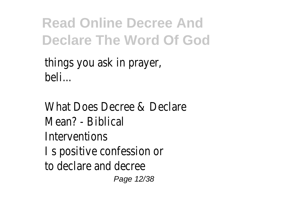things you ask in prayer, beli...

What Does Decree & Declare Mean? - Biblical Interventions I s positive confession or to declare and decree Page 12/38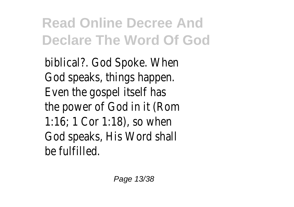biblical?. God Spoke. When God speaks, things happen. Even the gospel itself has the power of God in it (Rom 1:16; 1 Cor 1:18), so when God speaks, His Word shall be fulfilled.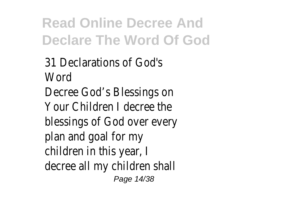31 Declarations of God's **Word** Decree God's Blessings on Your Children I decree the blessings of God over every plan and goal for my children in this year, I decree all my children shall Page 14/38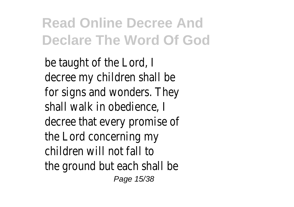be taught of the Lord, decree my children shall be for signs and wonders. They shall walk in obedience, I decree that every promise of the Lord concerning my children will not fall to the ground but each shall be Page 15/38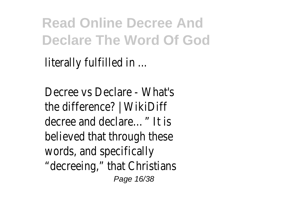literally fulfilled in ...

Decree vs Declare - What's the difference? | WikiDiff decree and declare…" It is believed that through these words, and specifically "decreeing," that Christians Page 16/38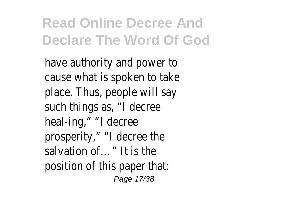have authority and power to cause what is spoken to take place. Thus, people will say such things as, "I decree heal-ing," "I decree prosperity," "I decree the salvation of…" It is the position of this paper that: Page 17/38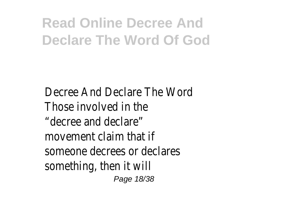Decree And Declare The Word Those involved in the "decree and declare" movement claim that if someone decrees or declares something, then it will Page 18/38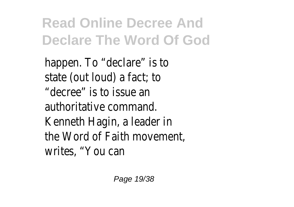happen. To "declare" is to state (out loud) a fact; to "decree" is to issue an authoritative command. Kenneth Hagin, a leader in the Word of Faith movement, writes, "You can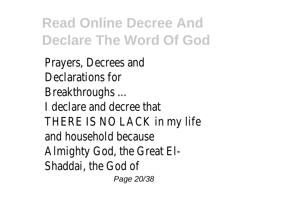Prayers, Decrees and Declarations for Breakthroughs ... I declare and decree that THERE IS NO LACK in my life and household because Almighty God, the Great El-Shaddai, the God of

Page 20/38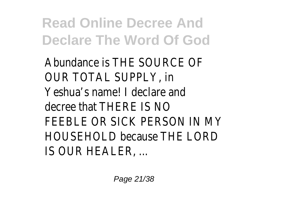Abundance is THE SOURCE OF OUR TOTAL SUPPLY, in Yeshua's name! I declare and decree that THERE IS NO FEEBLE OR SICK PERSON IN MY HOUSEHOLD because THE LORD IS OUR HEALER, ...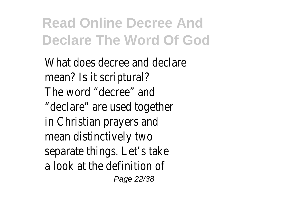What does decree and declare mean? Is it scriptural? The word "decree" and "declare" are used together in Christian prayers and mean distinctively two separate things. Let's take a look at the definition of Page 22/38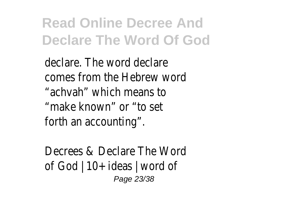declare. The word declare comes from the Hebrew word "achvah" which means to "make known" or "to set forth an accounting".

Decrees & Declare The Word of God | 10+ ideas | word of Page 23/38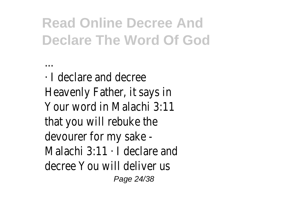· I declare and decree Heavenly Father, it says in Your word in Malachi 3:11 that you will rebuke the devourer for my sake - Malachi 3:11 · I declare and decree You will deliver us Page 24/38

...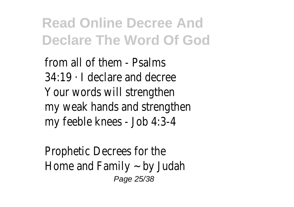from all of them - Psalms 34:19 · I declare and decree Your words will strengthen my weak hands and strengthen my feeble knees - Job 4:3-4

Prophetic Decrees for the Home and Family  $\sim$  by Judah Page 25/38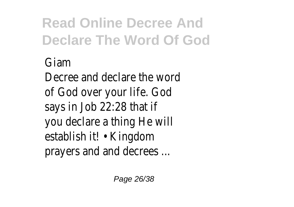#### Giam Decree and declare the word of God over your life. God says in Job 22:28 that if you declare a thing He will establish it! • Kingdom prayers and and decrees ...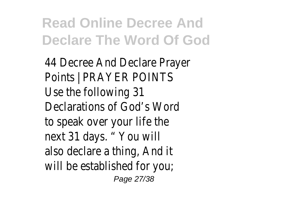44 Decree And Declare Prayer Points | PRAYER POINTS Use the following 31 Declarations of God's Word to speak over your life the next 31 days. " You will also declare a thing, And it will be established for you; Page 27/38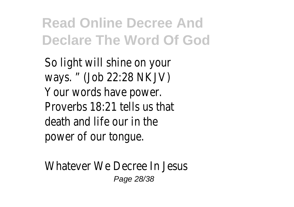So light will shine on your ways. " (Job 22:28 NKJV) Your words have power. Proverbs 18:21 tells us that death and life our in the power of our tongue.

Whatever We Decree In Jesus Page 28/38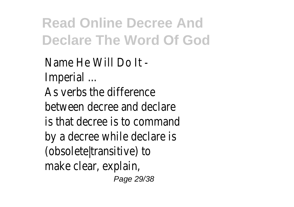Name He Will Do It - Imperial ... As verbs the difference between decree and declare is that decree is to command by a decree while declare is (obsolete|transitive) to make clear, explain, Page 29/38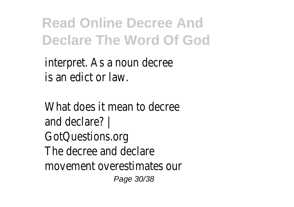interpret. As a noun decree is an edict or law.

What does it mean to decree and declare? | GotQuestions.org The decree and declare movement overestimates our Page 30/38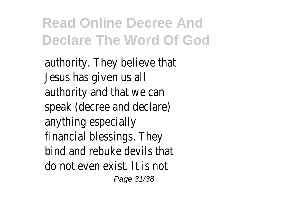authority. They believe that Jesus has given us all authority and that we can speak (decree and declare) anything especially financial blessings. They bind and rebuke devils that do not even exist. It is not Page 31/38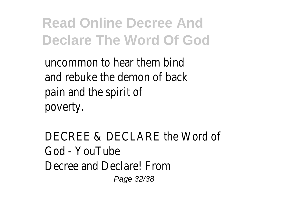uncommon to hear them bind and rebuke the demon of back pain and the spirit of poverty.

DECREE & DECLARE the Word of God - YouTube Decree and Declare! From Page 32/38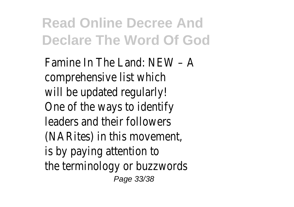Famine In The Land: NEW – A comprehensive list which will be updated regularly! One of the ways to identify leaders and their followers (NARites) in this movement, is by paying attention to the terminology or buzzwords Page 33/38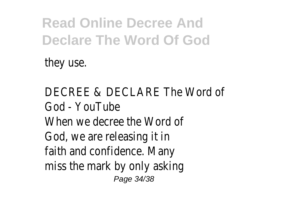they use.

DECREE & DECLARE The Word of God - YouTube When we decree the Word of God, we are releasing it in faith and confidence. Many miss the mark by only asking Page 34/38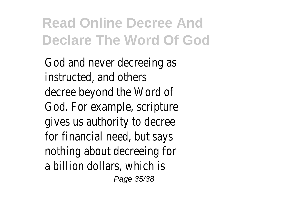God and never decreeing as instructed, and others decree beyond the Word of God. For example, scripture gives us authority to decree for financial need, but says nothing about decreeing for a billion dollars, which is Page 35/38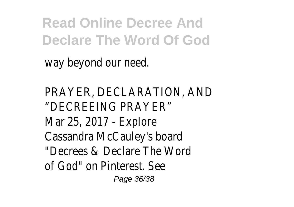way beyond our need.

PRAYER, DECLARATION, AND "DECREEING PRAYER" Mar 25, 2017 - Explore Cassandra McCauley's board "Decrees & Declare The Word of God" on Pinterest. See Page 36/38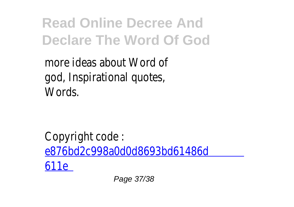more ideas about Word of god, Inspirational quotes, Words.

Copyright code : [e876bd2c998a0d0d8693bd61486d](/search-book/e876bd2c998a0d0d8693bd61486d611e) [611e](/search-book/e876bd2c998a0d0d8693bd61486d611e)

Page 37/38